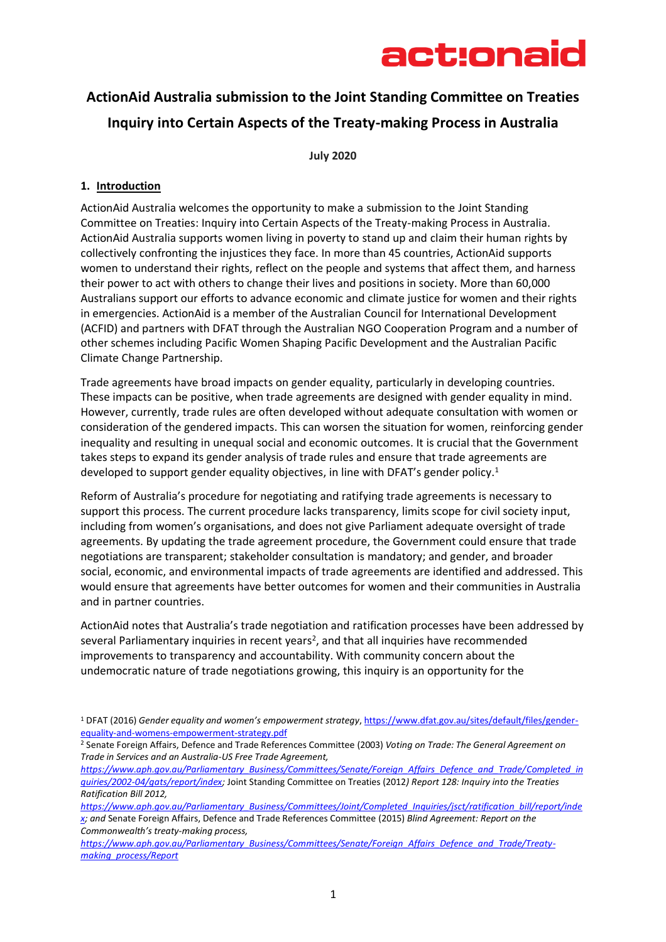

### **ActionAid Australia submission to the Joint Standing Committee on Treaties Inquiry into Certain Aspects of the Treaty-making Process in Australia**

**July 2020**

### **1. Introduction**

ActionAid Australia welcomes the opportunity to make a submission to the Joint Standing Committee on Treaties: Inquiry into Certain Aspects of the Treaty-making Process in Australia. ActionAid Australia supports women living in poverty to stand up and claim their human rights by collectively confronting the injustices they face. In more than 45 countries, ActionAid supports women to understand their rights, reflect on the people and systems that affect them, and harness their power to act with others to change their lives and positions in society. More than 60,000 Australians support our efforts to advance economic and climate justice for women and their rights in emergencies. ActionAid is a member of the Australian Council for International Development (ACFID) and partners with DFAT through the Australian NGO Cooperation Program and a number of other schemes including Pacific Women Shaping Pacific Development and the Australian Pacific Climate Change Partnership.

Trade agreements have broad impacts on gender equality, particularly in developing countries. These impacts can be positive, when trade agreements are designed with gender equality in mind. However, currently, trade rules are often developed without adequate consultation with women or consideration of the gendered impacts. This can worsen the situation for women, reinforcing gender inequality and resulting in unequal social and economic outcomes. It is crucial that the Government takes steps to expand its gender analysis of trade rules and ensure that trade agreements are developed to support gender equality objectives, in line with DFAT's gender policy.<sup>1</sup>

Reform of Australia's procedure for negotiating and ratifying trade agreements is necessary to support this process. The current procedure lacks transparency, limits scope for civil society input, including from women's organisations, and does not give Parliament adequate oversight of trade agreements. By updating the trade agreement procedure, the Government could ensure that trade negotiations are transparent; stakeholder consultation is mandatory; and gender, and broader social, economic, and environmental impacts of trade agreements are identified and addressed. This would ensure that agreements have better outcomes for women and their communities in Australia and in partner countries.

ActionAid notes that Australia's trade negotiation and ratification processes have been addressed by several Parliamentary inquiries in recent years<sup>2</sup>, and that all inquiries have recommended improvements to transparency and accountability. With community concern about the undemocratic nature of trade negotiations growing, this inquiry is an opportunity for the

*[https://www.aph.gov.au/Parliamentary\\_Business/Committees/Senate/Foreign\\_Affairs\\_Defence\\_and\\_Trade/Completed\\_in](https://www.aph.gov.au/Parliamentary_Business/Committees/Senate/Foreign_Affairs_Defence_and_Trade/Completed_inquiries/2002-04/gats/report/index) [quiries/2002-04/gats/report/index;](https://www.aph.gov.au/Parliamentary_Business/Committees/Senate/Foreign_Affairs_Defence_and_Trade/Completed_inquiries/2002-04/gats/report/index)* Joint Standing Committee on Treaties (2012*) Report 128: Inquiry into the Treaties Ratification Bill 2012,*

*[https://www.aph.gov.au/Parliamentary\\_Business/Committees/Senate/Foreign\\_Affairs\\_Defence\\_and\\_Trade/Treaty](https://www.aph.gov.au/Parliamentary_Business/Committees/Senate/Foreign_Affairs_Defence_and_Trade/Treaty-making_process/Report)[making\\_process/Report](https://www.aph.gov.au/Parliamentary_Business/Committees/Senate/Foreign_Affairs_Defence_and_Trade/Treaty-making_process/Report)*

<sup>1</sup> DFAT (2016) *Gender equality and women's empowerment strategy*[, https://www.dfat.gov.au/sites/default/files/gender](https://www.dfat.gov.au/sites/default/files/gender-equality-and-womens-empowerment-strategy.pdf)[equality-and-womens-empowerment-strategy.pdf](https://www.dfat.gov.au/sites/default/files/gender-equality-and-womens-empowerment-strategy.pdf)

<sup>2</sup> Senate Foreign Affairs, Defence and Trade References Committee (2003) *Voting on Trade: The General Agreement on Trade in Services and an Australia-US Free Trade Agreement,* 

*[https://www.aph.gov.au/Parliamentary\\_Business/Committees/Joint/Completed\\_Inquiries/jsct/ratification\\_bill/report/inde](https://www.aph.gov.au/Parliamentary_Business/Committees/Joint/Completed_Inquiries/jsct/ratification_bill/report/index) [x;](https://www.aph.gov.au/Parliamentary_Business/Committees/Joint/Completed_Inquiries/jsct/ratification_bill/report/index) and* Senate Foreign Affairs, Defence and Trade References Committee (2015) *Blind Agreement: Report on the Commonwealth's treaty-making process,*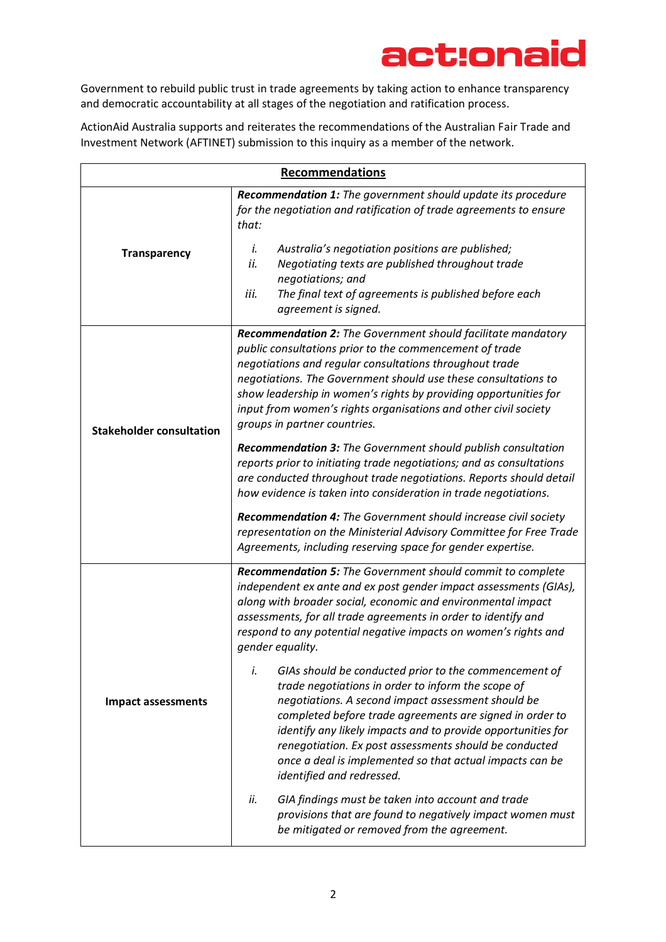Government to rebuild public trust in trade agreements by taking action to enhance transparency and democratic accountability at all stages of the negotiation and ratification process.

ActionAid Australia supports and reiterates the recommendations of the Australian Fair Trade and Investment Network (AFTINET) submission to this inquiry as a member of the network.

| <b>Recommendations</b>          |                                                                                                                                                                                                                                                                                                                                                                                                                                                                                                                                                                                                                                                                                                                                                                                              |
|---------------------------------|----------------------------------------------------------------------------------------------------------------------------------------------------------------------------------------------------------------------------------------------------------------------------------------------------------------------------------------------------------------------------------------------------------------------------------------------------------------------------------------------------------------------------------------------------------------------------------------------------------------------------------------------------------------------------------------------------------------------------------------------------------------------------------------------|
| <b>Transparency</b>             | <b>Recommendation 1:</b> The government should update its procedure<br>for the negotiation and ratification of trade agreements to ensure<br>that:<br>Australia's negotiation positions are published;<br>ĺ.<br>ii.<br>Negotiating texts are published throughout trade<br>negotiations; and<br>iii.<br>The final text of agreements is published before each<br>agreement is signed.                                                                                                                                                                                                                                                                                                                                                                                                        |
| <b>Stakeholder consultation</b> | <b>Recommendation 2:</b> The Government should facilitate mandatory<br>public consultations prior to the commencement of trade<br>negotiations and regular consultations throughout trade<br>negotiations. The Government should use these consultations to<br>show leadership in women's rights by providing opportunities for<br>input from women's rights organisations and other civil society<br>groups in partner countries.<br><b>Recommendation 3:</b> The Government should publish consultation<br>reports prior to initiating trade negotiations; and as consultations<br>are conducted throughout trade negotiations. Reports should detail<br>how evidence is taken into consideration in trade negotiations.<br>Recommendation 4: The Government should increase civil society |
|                                 | representation on the Ministerial Advisory Committee for Free Trade<br>Agreements, including reserving space for gender expertise.                                                                                                                                                                                                                                                                                                                                                                                                                                                                                                                                                                                                                                                           |
| <b>Impact assessments</b>       | <b>Recommendation 5:</b> The Government should commit to complete<br>independent ex ante and ex post gender impact assessments (GIAs),<br>along with broader social, economic and environmental impact<br>assessments, for all trade agreements in order to identify and<br>respond to any potential negative impacts on women's rights and<br>gender equality.                                                                                                                                                                                                                                                                                                                                                                                                                              |
|                                 | i.<br>GIAs should be conducted prior to the commencement of<br>trade negotiations in order to inform the scope of<br>negotiations. A second impact assessment should be<br>completed before trade agreements are signed in order to<br>identify any likely impacts and to provide opportunities for<br>renegotiation. Ex post assessments should be conducted<br>once a deal is implemented so that actual impacts can be<br>identified and redressed.                                                                                                                                                                                                                                                                                                                                       |
|                                 | ii.<br>GIA findings must be taken into account and trade<br>provisions that are found to negatively impact women must<br>be mitigated or removed from the agreement.                                                                                                                                                                                                                                                                                                                                                                                                                                                                                                                                                                                                                         |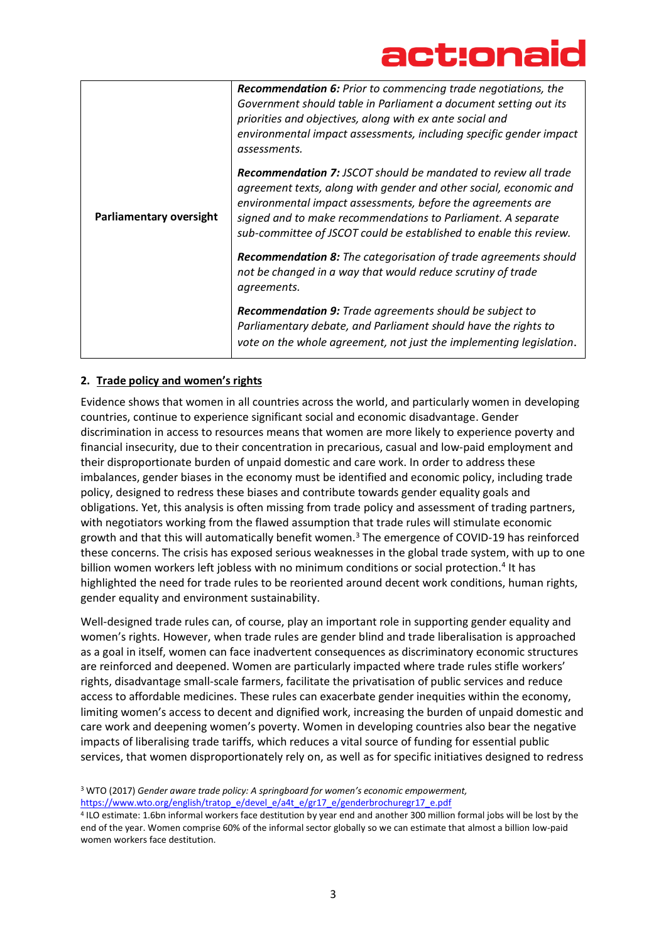| Parliamentary oversight | <b>Recommendation 6:</b> Prior to commencing trade negotiations, the<br>Government should table in Parliament a document setting out its<br>priorities and objectives, along with ex ante social and<br>environmental impact assessments, including specific gender impact<br>assessments.                                               |
|-------------------------|------------------------------------------------------------------------------------------------------------------------------------------------------------------------------------------------------------------------------------------------------------------------------------------------------------------------------------------|
|                         | Recommendation 7: JSCOT should be mandated to review all trade<br>agreement texts, along with gender and other social, economic and<br>environmental impact assessments, before the agreements are<br>signed and to make recommendations to Parliament. A separate<br>sub-committee of JSCOT could be established to enable this review. |
|                         | <b>Recommendation 8:</b> The categorisation of trade agreements should<br>not be changed in a way that would reduce scrutiny of trade<br>agreements.                                                                                                                                                                                     |
|                         | <b>Recommendation 9:</b> Trade agreements should be subject to<br>Parliamentary debate, and Parliament should have the rights to<br>vote on the whole agreement, not just the implementing legislation.                                                                                                                                  |

### **2. Trade policy and women's rights**

Evidence shows that women in all countries across the world, and particularly women in developing countries, continue to experience significant social and economic disadvantage. Gender discrimination in access to resources means that women are more likely to experience poverty and financial insecurity, due to their concentration in precarious, casual and low-paid employment and their disproportionate burden of unpaid domestic and care work. In order to address these imbalances, gender biases in the economy must be identified and economic policy, including trade policy, designed to redress these biases and contribute towards gender equality goals and obligations. Yet, this analysis is often missing from trade policy and assessment of trading partners, with negotiators working from the flawed assumption that trade rules will stimulate economic growth and that this will automatically benefit women.<sup>3</sup> The emergence of COVID-19 has reinforced these concerns. The crisis has exposed serious weaknesses in the global trade system, with up to one billion women workers left jobless with no minimum conditions or social protection.<sup>4</sup> It has highlighted the need for trade rules to be reoriented around decent work conditions, human rights, gender equality and environment sustainability.

Well-designed trade rules can, of course, play an important role in supporting gender equality and women's rights. However, when trade rules are gender blind and trade liberalisation is approached as a goal in itself, women can face inadvertent consequences as discriminatory economic structures are reinforced and deepened. Women are particularly impacted where trade rules stifle workers' rights, disadvantage small-scale farmers, facilitate the privatisation of public services and reduce access to affordable medicines. These rules can exacerbate gender inequities within the economy, limiting women's access to decent and dignified work, increasing the burden of unpaid domestic and care work and deepening women's poverty. Women in developing countries also bear the negative impacts of liberalising trade tariffs, which reduces a vital source of funding for essential public services, that women disproportionately rely on, as well as for specific initiatives designed to redress

<sup>3</sup> WTO (2017) *Gender aware trade policy: A springboard for women's economic empowerment,* 

[https://www.wto.org/english/tratop\\_e/devel\\_e/a4t\\_e/gr17\\_e/genderbrochuregr17\\_e.pdf](https://www.wto.org/english/tratop_e/devel_e/a4t_e/gr17_e/genderbrochuregr17_e.pdf) 

4 ILO estimate: 1.6bn informal workers face destitution by year end and another 300 million formal jobs will be lost by the end of the year. Women comprise 60% of the informal sector globally so we can estimate that almost a billion low-paid women workers face destitution.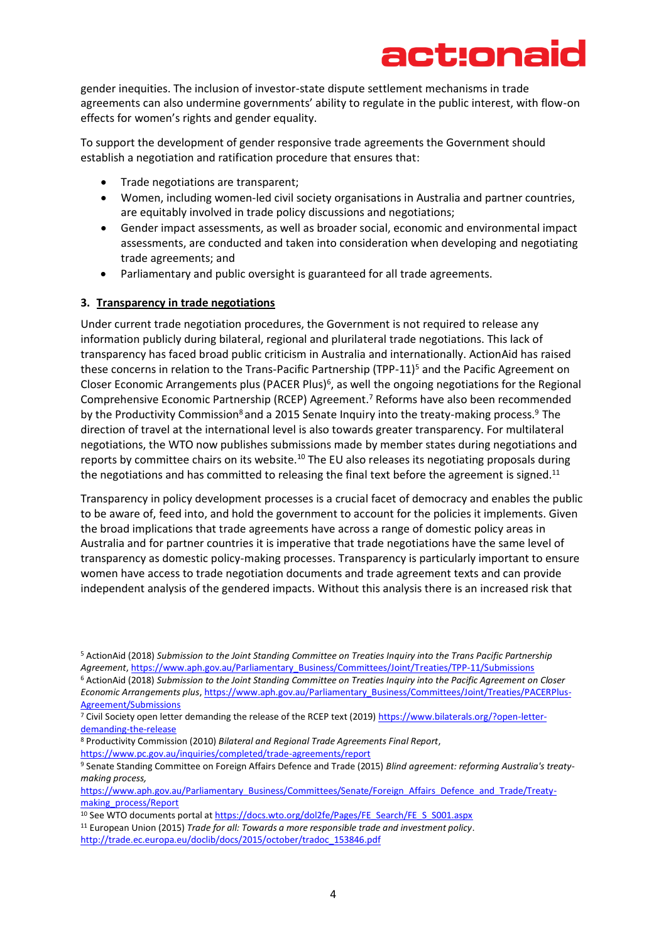gender inequities. The inclusion of investor-state dispute settlement mechanisms in trade agreements can also undermine governments' ability to regulate in the public interest, with flow-on effects for women's rights and gender equality.

To support the development of gender responsive trade agreements the Government should establish a negotiation and ratification procedure that ensures that:

- Trade negotiations are transparent;
- Women, including women-led civil society organisations in Australia and partner countries, are equitably involved in trade policy discussions and negotiations;
- Gender impact assessments, as well as broader social, economic and environmental impact assessments, are conducted and taken into consideration when developing and negotiating trade agreements; and
- Parliamentary and public oversight is guaranteed for all trade agreements.

### **3. Transparency in trade negotiations**

Under current trade negotiation procedures, the Government is not required to release any information publicly during bilateral, regional and plurilateral trade negotiations. This lack of transparency has faced broad public criticism in Australia and internationally. ActionAid has raised these concerns in relation to the Trans-Pacific Partnership (TPP-11)<sup>5</sup> and the Pacific Agreement on Closer Economic Arrangements plus (PACER Plus)<sup>6</sup>, as well the ongoing negotiations for the Regional Comprehensive Economic Partnership (RCEP) Agreement. <sup>7</sup> Reforms have also been recommended by the Productivity Commission<sup>8</sup> and a 2015 Senate Inquiry into the treaty-making process.<sup>9</sup> The direction of travel at the international level is also towards greater transparency. For multilateral negotiations, the WTO now publishes submissions made by member states during negotiations and reports by committee chairs on its website.<sup>10</sup> The EU also releases its negotiating proposals during the negotiations and has committed to releasing the final text before the agreement is signed.<sup>11</sup>

Transparency in policy development processes is a crucial facet of democracy and enables the public to be aware of, feed into, and hold the government to account for the policies it implements. Given the broad implications that trade agreements have across a range of domestic policy areas in Australia and for partner countries it is imperative that trade negotiations have the same level of transparency as domestic policy-making processes. Transparency is particularly important to ensure women have access to trade negotiation documents and trade agreement texts and can provide independent analysis of the gendered impacts. Without this analysis there is an increased risk that

<sup>5</sup> ActionAid (2018) *Submission to the Joint Standing Committee on Treaties Inquiry into the Trans Pacific Partnership Agreement*[, https://www.aph.gov.au/Parliamentary\\_Business/Committees/Joint/Treaties/TPP-11/Submissions](https://www.aph.gov.au/Parliamentary_Business/Committees/Joint/Treaties/TPP-11/Submissions) <sup>6</sup> ActionAid (2018) *Submission to the Joint Standing Committee on Treaties Inquiry into the Pacific Agreement on Closer Economic Arrangements plus*[, https://www.aph.gov.au/Parliamentary\\_Business/Committees/Joint/Treaties/PACERPlus-](https://www.aph.gov.au/Parliamentary_Business/Committees/Joint/Treaties/PACERPlus-Agreement/Submissions)[Agreement/Submissions](https://www.aph.gov.au/Parliamentary_Business/Committees/Joint/Treaties/PACERPlus-Agreement/Submissions)

<sup>&</sup>lt;sup>7</sup> Civil Society open letter demanding the release of the RCEP text (2019) [https://www.bilaterals.org/?open-letter](https://www.bilaterals.org/?open-letter-demanding-the-release)[demanding-the-release](https://www.bilaterals.org/?open-letter-demanding-the-release)

<sup>8</sup> Productivity Commission (2010) *Bilateral and Regional Trade Agreements Final Report*,

https://www.pc.gov.au/inquiries/completed/trade-agreements/report

<sup>9</sup> Senate Standing Committee on Foreign Affairs Defence and Trade (2015) *Blind agreement: reforming Australia's treatymaking process,* 

[https://www.aph.gov.au/Parliamentary\\_Business/Committees/Senate/Foreign\\_Affairs\\_Defence\\_and\\_Trade/Treaty](https://www.aph.gov.au/Parliamentary_Business/Committees/Senate/Foreign_Affairs_Defence_and_Trade/Treaty-making_process/Report)[making\\_process/Report](https://www.aph.gov.au/Parliamentary_Business/Committees/Senate/Foreign_Affairs_Defence_and_Trade/Treaty-making_process/Report)

<sup>&</sup>lt;sup>10</sup> See WTO documents portal at https://docs.wto.org/dol2fe/Pages/FE\_Search/FE\_S\_S001.aspx

<sup>11</sup> European Union (2015) *Trade for all: Towards a more responsible trade and investment policy*.

[http://trade.ec.europa.eu/doclib/docs/2015/october/tradoc\\_153846.pdf](http://trade.ec.europa.eu/doclib/docs/2015/october/tradoc_153846.pdf)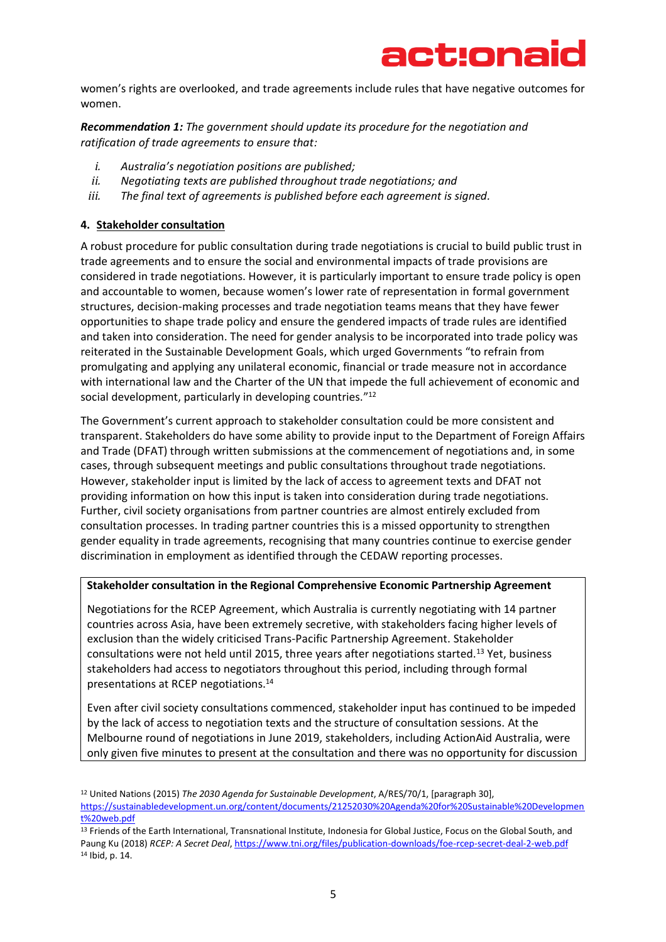### act:ona

women's rights are overlooked, and trade agreements include rules that have negative outcomes for women.

*Recommendation 1: The government should update its procedure for the negotiation and ratification of trade agreements to ensure that:* 

- *i. Australia's negotiation positions are published;*
- *ii. Negotiating texts are published throughout trade negotiations; and*
- *iii. The final text of agreements is published before each agreement is signed.*

### **4. Stakeholder consultation**

A robust procedure for public consultation during trade negotiations is crucial to build public trust in trade agreements and to ensure the social and environmental impacts of trade provisions are considered in trade negotiations. However, it is particularly important to ensure trade policy is open and accountable to women, because women's lower rate of representation in formal government structures, decision-making processes and trade negotiation teams means that they have fewer opportunities to shape trade policy and ensure the gendered impacts of trade rules are identified and taken into consideration. The need for gender analysis to be incorporated into trade policy was reiterated in the Sustainable Development Goals, which urged Governments "to refrain from promulgating and applying any unilateral economic, financial or trade measure not in accordance with international law and the Charter of the UN that impede the full achievement of economic and social development, particularly in developing countries."<sup>12</sup>

The Government's current approach to stakeholder consultation could be more consistent and transparent. Stakeholders do have some ability to provide input to the Department of Foreign Affairs and Trade (DFAT) through written submissions at the commencement of negotiations and, in some cases, through subsequent meetings and public consultations throughout trade negotiations. However, stakeholder input is limited by the lack of access to agreement texts and DFAT not providing information on how this input is taken into consideration during trade negotiations. Further, civil society organisations from partner countries are almost entirely excluded from consultation processes. In trading partner countries this is a missed opportunity to strengthen gender equality in trade agreements, recognising that many countries continue to exercise gender discrimination in employment as identified through the CEDAW reporting processes.

#### **Stakeholder consultation in the Regional Comprehensive Economic Partnership Agreement**

Negotiations for the RCEP Agreement, which Australia is currently negotiating with 14 partner countries across Asia, have been extremely secretive, with stakeholders facing higher levels of exclusion than the widely criticised Trans-Pacific Partnership Agreement. Stakeholder consultations were not held until 2015, three years after negotiations started.<sup>13</sup> Yet, business stakeholders had access to negotiators throughout this period, including through formal presentations at RCEP negotiations.<sup>14</sup>

Even after civil society consultations commenced, stakeholder input has continued to be impeded by the lack of access to negotiation texts and the structure of consultation sessions. At the Melbourne round of negotiations in June 2019, stakeholders, including ActionAid Australia, were only given five minutes to present at the consultation and there was no opportunity for discussion

<sup>12</sup> United Nations (2015) *The 2030 Agenda for Sustainable Development*, A/RES/70/1, [paragraph 30], [https://sustainabledevelopment.un.org/content/documents/21252030%20Agenda%20for%20Sustainable%20Developmen](https://sustainabledevelopment.un.org/content/documents/21252030%20Agenda%20for%20Sustainable%20Development%20web.pdf) [t%20web.pdf](https://sustainabledevelopment.un.org/content/documents/21252030%20Agenda%20for%20Sustainable%20Development%20web.pdf)

<sup>13</sup> Friends of the Earth International, Transnational Institute, Indonesia for Global Justice, Focus on the Global South, and Paung Ku (2018) *RCEP: A Secret Deal*[, https://www.tni.org/files/publication-downloads/foe-rcep-secret-deal-2-web.pdf](https://www.tni.org/files/publication-downloads/foe-rcep-secret-deal-2-web.pdf) <sup>14</sup> Ibid, p. 14.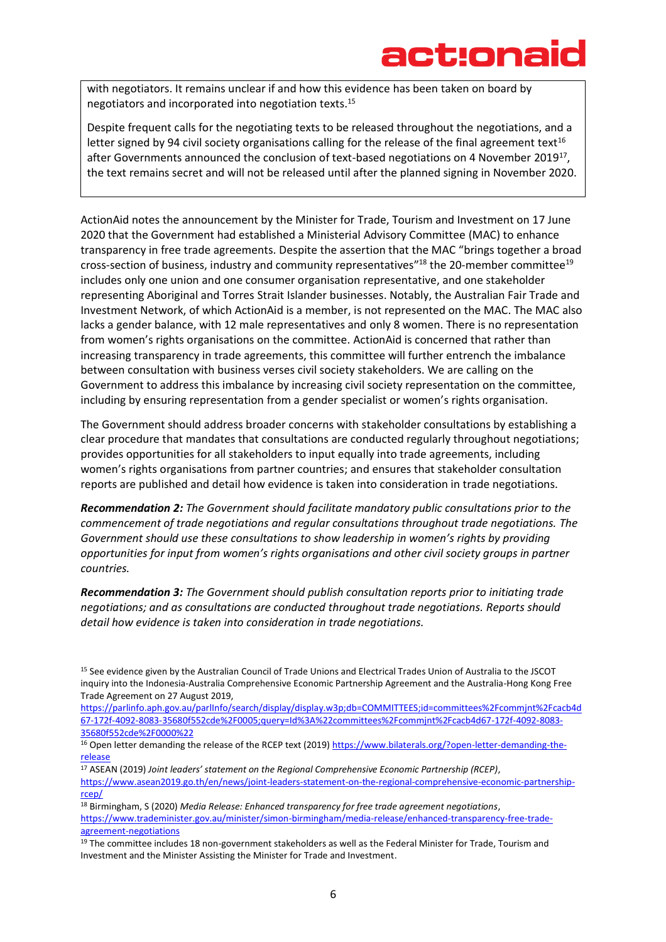with negotiators. It remains unclear if and how this evidence has been taken on board by negotiators and incorporated into negotiation texts. 15

Despite frequent calls for the negotiating texts to be released throughout the negotiations, and a letter signed by 94 civil society organisations calling for the release of the final agreement text<sup>16</sup> after Governments announced the conclusion of text-based negotiations on 4 November 2019<sup>17</sup>, the text remains secret and will not be released until after the planned signing in November 2020.

ActionAid notes the announcement by the Minister for Trade, Tourism and Investment on 17 June 2020 that the Government had established a Ministerial Advisory Committee (MAC) to enhance transparency in free trade agreements. Despite the assertion that the MAC "brings together a broad cross-section of business, industry and community representatives<sup>"18</sup> the 20-member committee<sup>19</sup> includes only one union and one consumer organisation representative, and one stakeholder representing Aboriginal and Torres Strait Islander businesses. Notably, the Australian Fair Trade and Investment Network, of which ActionAid is a member, is not represented on the MAC. The MAC also lacks a gender balance, with 12 male representatives and only 8 women. There is no representation from women's rights organisations on the committee. ActionAid is concerned that rather than increasing transparency in trade agreements, this committee will further entrench the imbalance between consultation with business verses civil society stakeholders. We are calling on the Government to address this imbalance by increasing civil society representation on the committee, including by ensuring representation from a gender specialist or women's rights organisation.

The Government should address broader concerns with stakeholder consultations by establishing a clear procedure that mandates that consultations are conducted regularly throughout negotiations; provides opportunities for all stakeholders to input equally into trade agreements, including women's rights organisations from partner countries; and ensures that stakeholder consultation reports are published and detail how evidence is taken into consideration in trade negotiations.

*Recommendation 2: The Government should facilitate mandatory public consultations prior to the commencement of trade negotiations and regular consultations throughout trade negotiations. The Government should use these consultations to show leadership in women's rights by providing opportunities for input from women's rights organisations and other civil society groups in partner countries.*

*Recommendation 3: The Government should publish consultation reports prior to initiating trade negotiations; and as consultations are conducted throughout trade negotiations. Reports should detail how evidence is taken into consideration in trade negotiations.* 

[https://parlinfo.aph.gov.au/parlInfo/search/display/display.w3p;db=COMMITTEES;id=committees%2Fcommjnt%2Fcacb4d](https://parlinfo.aph.gov.au/parlInfo/search/display/display.w3p;db=COMMITTEES;id=committees%2Fcommjnt%2Fcacb4d67-172f-4092-8083-35680f552cde%2F0005;query=Id%3A%22committees%2Fcommjnt%2Fcacb4d67-172f-4092-8083-35680f552cde%2F0000%22) [67-172f-4092-8083-35680f552cde%2F0005;query=Id%3A%22committees%2Fcommjnt%2Fcacb4d67-172f-4092-8083-](https://parlinfo.aph.gov.au/parlInfo/search/display/display.w3p;db=COMMITTEES;id=committees%2Fcommjnt%2Fcacb4d67-172f-4092-8083-35680f552cde%2F0005;query=Id%3A%22committees%2Fcommjnt%2Fcacb4d67-172f-4092-8083-35680f552cde%2F0000%22) [35680f552cde%2F0000%22](https://parlinfo.aph.gov.au/parlInfo/search/display/display.w3p;db=COMMITTEES;id=committees%2Fcommjnt%2Fcacb4d67-172f-4092-8083-35680f552cde%2F0005;query=Id%3A%22committees%2Fcommjnt%2Fcacb4d67-172f-4092-8083-35680f552cde%2F0000%22)

<sup>17</sup> ASEAN (2019) *Joint leaders' statement on the Regional Comprehensive Economic Partnership (RCEP)*,

[https://www.asean2019.go.th/en/news/joint-leaders-statement-on-the-regional-comprehensive-economic-partnership](https://www.asean2019.go.th/en/news/joint-leaders-statement-on-the-regional-comprehensive-economic-partnership-rcep/)[rcep/](https://www.asean2019.go.th/en/news/joint-leaders-statement-on-the-regional-comprehensive-economic-partnership-rcep/)

<sup>18</sup> Birmingham, S (2020) *Media Release: Enhanced transparency for free trade agreement negotiations*, [https://www.trademinister.gov.au/minister/simon-birmingham/media-release/enhanced-transparency-free-trade](https://www.trademinister.gov.au/minister/simon-birmingham/media-release/enhanced-transparency-free-trade-agreement-negotiations)[agreement-negotiations](https://www.trademinister.gov.au/minister/simon-birmingham/media-release/enhanced-transparency-free-trade-agreement-negotiations)

<sup>15</sup> See evidence given by the Australian Council of Trade Unions and Electrical Trades Union of Australia to the JSCOT inquiry into the Indonesia-Australia Comprehensive Economic Partnership Agreement and the Australia-Hong Kong Free Trade Agreement on 27 August 2019,

<sup>16</sup> Open letter demanding the release of the RCEP text (2019) [https://www.bilaterals.org/?open-letter-demanding-the](https://www.bilaterals.org/?open-letter-demanding-the-release)[release](https://www.bilaterals.org/?open-letter-demanding-the-release)

<sup>&</sup>lt;sup>19</sup> The committee includes 18 non-government stakeholders as well as the Federal Minister for Trade, Tourism and Investment and the Minister Assisting the Minister for Trade and Investment.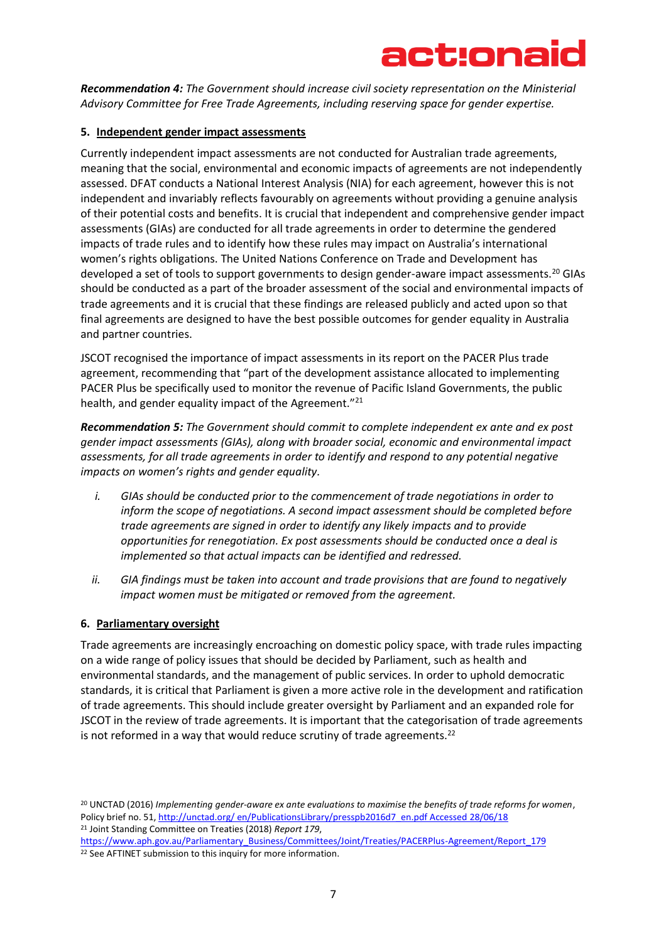

*Recommendation 4: The Government should increase civil society representation on the Ministerial Advisory Committee for Free Trade Agreements, including reserving space for gender expertise.*

### **5. Independent gender impact assessments**

Currently independent impact assessments are not conducted for Australian trade agreements, meaning that the social, environmental and economic impacts of agreements are not independently assessed. DFAT conducts a National Interest Analysis (NIA) for each agreement, however this is not independent and invariably reflects favourably on agreements without providing a genuine analysis of their potential costs and benefits. It is crucial that independent and comprehensive gender impact assessments (GIAs) are conducted for all trade agreements in order to determine the gendered impacts of trade rules and to identify how these rules may impact on Australia's international women's rights obligations. The United Nations Conference on Trade and Development has developed a set of tools to support governments to design gender-aware impact assessments.<sup>20</sup> GIAs should be conducted as a part of the broader assessment of the social and environmental impacts of trade agreements and it is crucial that these findings are released publicly and acted upon so that final agreements are designed to have the best possible outcomes for gender equality in Australia and partner countries.

JSCOT recognised the importance of impact assessments in its report on the PACER Plus trade agreement, recommending that "part of the development assistance allocated to implementing PACER Plus be specifically used to monitor the revenue of Pacific Island Governments, the public health, and gender equality impact of the Agreement."<sup>21</sup>

*Recommendation 5: The Government should commit to complete independent ex ante and ex post gender impact assessments (GIAs), along with broader social, economic and environmental impact assessments, for all trade agreements in order to identify and respond to any potential negative impacts on women's rights and gender equality.*

- *i. GIAs should be conducted prior to the commencement of trade negotiations in order to inform the scope of negotiations. A second impact assessment should be completed before trade agreements are signed in order to identify any likely impacts and to provide opportunities for renegotiation. Ex post assessments should be conducted once a deal is implemented so that actual impacts can be identified and redressed.*
- *ii. GIA findings must be taken into account and trade provisions that are found to negatively impact women must be mitigated or removed from the agreement.*

#### **6. Parliamentary oversight**

Trade agreements are increasingly encroaching on domestic policy space, with trade rules impacting on a wide range of policy issues that should be decided by Parliament, such as health and environmental standards, and the management of public services. In order to uphold democratic standards, it is critical that Parliament is given a more active role in the development and ratification of trade agreements. This should include greater oversight by Parliament and an expanded role for JSCOT in the review of trade agreements. It is important that the categorisation of trade agreements is not reformed in a way that would reduce scrutiny of trade agreements.<sup>22</sup>

<sup>20</sup> UNCTAD (2016) *Implementing gender-aware ex ante evaluations to maximise the benefits of trade reforms for women*, Policy brief no. 51, http://unctad.org/ en/PublicationsLibrary/presspb2016d7\_en.pdf Accessed 28/06/18 <sup>21</sup> Joint Standing Committee on Treaties (2018) *Report 179*,

[https://www.aph.gov.au/Parliamentary\\_Business/Committees/Joint/Treaties/PACERPlus-Agreement/Report\\_179](https://www.aph.gov.au/Parliamentary_Business/Committees/Joint/Treaties/PACERPlus-Agreement/Report_179) <sup>22</sup> See AFTINET submission to this inquiry for more information.